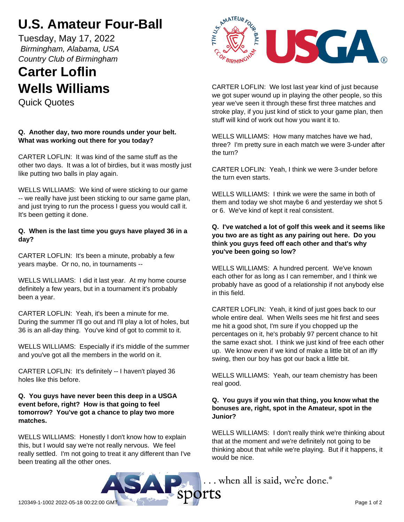# **U.S. Amateur Four-Ball**

Tuesday, May 17, 2022  *Birmingham, Alabama, USA Country Club of Birmingham*

## **Carter Loflin Wells Williams**

Quick Quotes

### **Q. Another day, two more rounds under your belt. What was working out there for you today?**

CARTER LOFLIN: It was kind of the same stuff as the other two days. It was a lot of birdies, but it was mostly just like putting two balls in play again.

WELLS WILLIAMS: We kind of were sticking to our game -- we really have just been sticking to our same game plan, and just trying to run the process I guess you would call it. It's been getting it done.

#### **Q. When is the last time you guys have played 36 in a day?**

CARTER LOFLIN: It's been a minute, probably a few years maybe. Or no, no, in tournaments --

WELLS WILLIAMS: I did it last year. At my home course definitely a few years, but in a tournament it's probably been a year.

CARTER LOFLIN: Yeah, it's been a minute for me. During the summer I'll go out and I'll play a lot of holes, but 36 is an all-day thing. You've kind of got to commit to it.

WELLS WILLIAMS: Especially if it's middle of the summer and you've got all the members in the world on it.

CARTER LOFLIN: It's definitely -- I haven't played 36 holes like this before.

#### **Q. You guys have never been this deep in a USGA event before, right? How is that going to feel tomorrow? You've got a chance to play two more matches.**

WELLS WILLIAMS: Honestly I don't know how to explain this, but I would say we're not really nervous. We feel really settled. I'm not going to treat it any different than I've been treating all the other ones.



CARTER LOFLIN: We lost last year kind of just because we got super wound up in playing the other people, so this year we've seen it through these first three matches and stroke play, if you just kind of stick to your game plan, then stuff will kind of work out how you want it to.

WELLS WILLIAMS: How many matches have we had, three? I'm pretty sure in each match we were 3-under after the turn?

CARTER LOFLIN: Yeah, I think we were 3-under before the turn even starts.

WELLS WILLIAMS: I think we were the same in both of them and today we shot maybe 6 and yesterday we shot 5 or 6. We've kind of kept it real consistent.

**Q. I've watched a lot of golf this week and it seems like you two are as tight as any pairing out here. Do you think you guys feed off each other and that's why you've been going so low?**

WELLS WILLIAMS: A hundred percent. We've known each other for as long as I can remember, and I think we probably have as good of a relationship if not anybody else in this field.

CARTER LOFLIN: Yeah, it kind of just goes back to our whole entire deal. When Wells sees me hit first and sees me hit a good shot, I'm sure if you chopped up the percentages on it, he's probably 97 percent chance to hit the same exact shot. I think we just kind of free each other up. We know even if we kind of make a little bit of an iffy swing, then our boy has got our back a little bit.

WELLS WILLIAMS: Yeah, our team chemistry has been real good.

#### **Q. You guys if you win that thing, you know what the bonuses are, right, spot in the Amateur, spot in the Junior?**

WELLS WILLIAMS: I don't really think we're thinking about that at the moment and we're definitely not going to be thinking about that while we're playing. But if it happens, it would be nice.

... when all is said, we're done.®